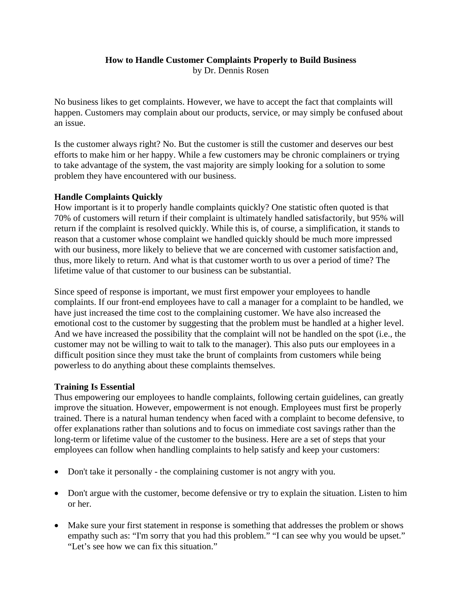## **How to Handle Customer Complaints Properly to Build Business** by Dr. Dennis Rosen

No business likes to get complaints. However, we have to accept the fact that complaints will happen. Customers may complain about our products, service, or may simply be confused about an issue.

Is the customer always right? No. But the customer is still the customer and deserves our best efforts to make him or her happy. While a few customers may be chronic complainers or trying to take advantage of the system, the vast majority are simply looking for a solution to some problem they have encountered with our business.

## **Handle Complaints Quickly**

How important is it to properly handle complaints quickly? One statistic often quoted is that 70% of customers will return if their complaint is ultimately handled satisfactorily, but 95% will return if the complaint is resolved quickly. While this is, of course, a simplification, it stands to reason that a customer whose complaint we handled quickly should be much more impressed with our business, more likely to believe that we are concerned with customer satisfaction and, thus, more likely to return. And what is that customer worth to us over a period of time? The lifetime value of that customer to our business can be substantial.

Since speed of response is important, we must first empower your employees to handle complaints. If our front-end employees have to call a manager for a complaint to be handled, we have just increased the time cost to the complaining customer. We have also increased the emotional cost to the customer by suggesting that the problem must be handled at a higher level. And we have increased the possibility that the complaint will not be handled on the spot (i.e., the customer may not be willing to wait to talk to the manager). This also puts our employees in a difficult position since they must take the brunt of complaints from customers while being powerless to do anything about these complaints themselves.

## **Training Is Essential**

Thus empowering our employees to handle complaints, following certain guidelines, can greatly improve the situation. However, empowerment is not enough. Employees must first be properly trained. There is a natural human tendency when faced with a complaint to become defensive, to offer explanations rather than solutions and to focus on immediate cost savings rather than the long-term or lifetime value of the customer to the business. Here are a set of steps that your employees can follow when handling complaints to help satisfy and keep your customers:

- Don't take it personally the complaining customer is not angry with you.
- Don't argue with the customer, become defensive or try to explain the situation. Listen to him or her.
- Make sure your first statement in response is something that addresses the problem or shows empathy such as: "I'm sorry that you had this problem." "I can see why you would be upset." "Let's see how we can fix this situation."